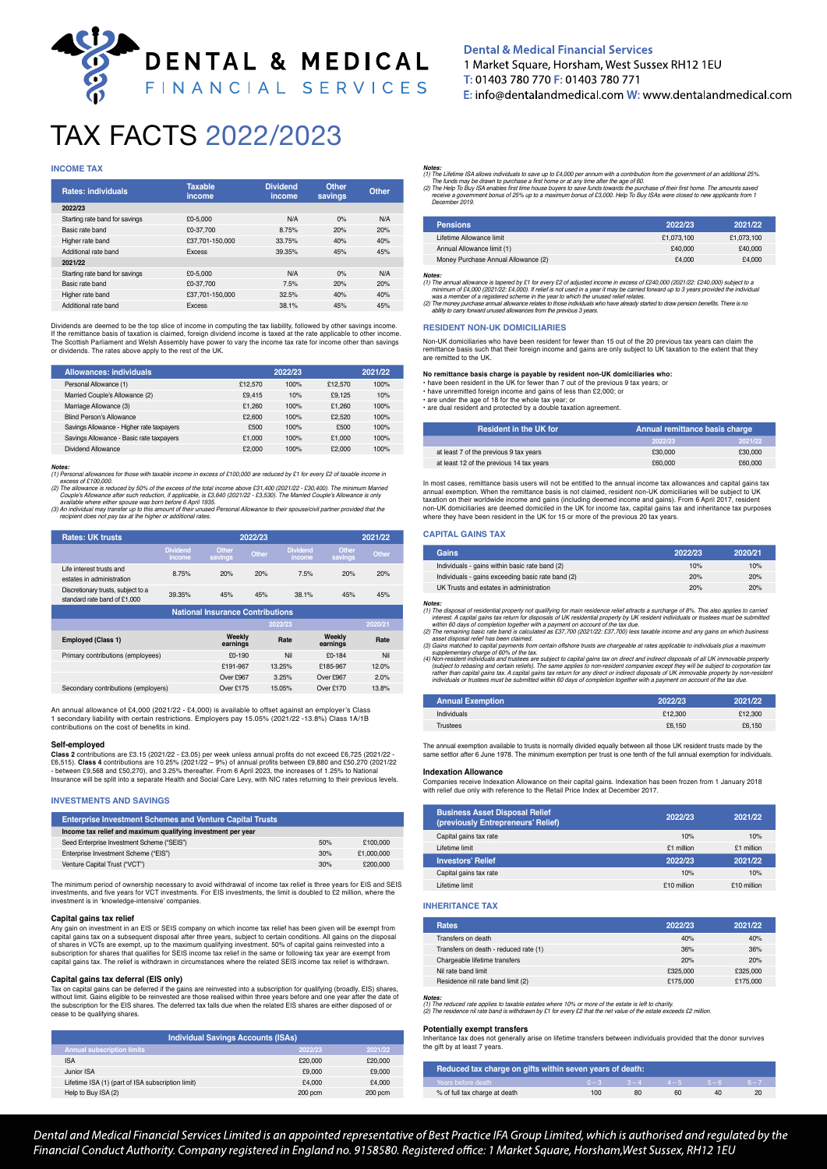# DENTAL & MEDICAL FINANCIAL SERVICES

## TAX FACTS 2022/2023

#### **INCOME TAX**

| Rates: individuals             | <b>Taxable</b><br>income | <b>Dividend</b><br>income | Other<br>savings | Other |
|--------------------------------|--------------------------|---------------------------|------------------|-------|
| 2022/23                        |                          |                           |                  |       |
| Starting rate band for savings | £0-5.000                 | N/A                       | 0%               | N/A   |
| Basic rate band                | £0-37,700                | 8.75%                     | 20%              | 20%   |
| Higher rate band               | £37.701-150.000          | 33.75%                    | 40%              | 40%   |
| Additional rate band           | <b>Excess</b>            | 39.35%                    | 45%              | 45%   |
| 2021/22                        |                          |                           |                  |       |
| Starting rate band for savings | £0-5.000                 | N/A                       | 0%               | N/A   |
| Basic rate band                | £0-37.700                | 7.5%                      | 20%              | 20%   |
| Higher rate band               | £37.701-150.000          | 32.5%                     | 40%              | 40%   |
| Additional rate band           | <b>Excess</b>            | 38.1%                     | 45%              | 45%   |

Dividends are deemed to be the top slice of income in computing the tax liability, followed by other savings income. If the remittance basis of taxation is claimed, foreign dividend income is taxed at the rate applicable to other income.<br>The Scottish Parliament and Welsh Assembly have power to vary the income tax rate for income other th

| Allowances: individuals                   |         | 2022/23 |         | 2021/22 |
|-------------------------------------------|---------|---------|---------|---------|
| Personal Allowance (1)                    | £12,570 | 100%    | £12,570 | 100%    |
| Married Couple's Allowance (2)            | £9.415  | 10%     | £9.125  | 10%     |
| Marriage Allowance (3)                    | £1.260  | 100%    | £1.260  | 100%    |
| Blind Person's Allowance                  | £2,600  | 100%    | £2,520  | 100%    |
| Savings Allowance - Higher rate taxpayers | £500    | 100%    | £500    | 100%    |
| Savings Allowance - Basic rate taxpayers  | £1.000  | 100%    | £1.000  | 100%    |
| Dividend Allowance                        | £2,000  | 100%    | £2,000  | 100%    |

 $(1)$   $P_f$ 

(1) Personal allowances for those with taxable income in excess of £100,000 are reduced by £1 for every £2 of taxable income in<br>(2) Phe allowance is reduced by 50% of the excess of the fotal income above £31,400 (2021)/22-

*recipient does not pay tax at the higher or additional rates.*

| <b>Rates: UK trusts</b>                                            | 2022/23<br>2021/22        |                    |       |                           |                    |         |
|--------------------------------------------------------------------|---------------------------|--------------------|-------|---------------------------|--------------------|---------|
|                                                                    | <b>Dividend</b><br>income | Other<br>savings   | Other | <b>Dividend</b><br>income | Other<br>savings   | Other   |
| Life interest trusts and<br>estates in administration              | 8.75%                     | 20%                | 20%   | 7.5%                      | 20%                | 20%     |
| Discretionary trusts, subject to a<br>standard rate band of £1,000 | 39.35%                    | 45%                | 45%   | 38.1%                     | 45%                | 45%     |
| <b>National Insurance Contributions</b>                            |                           |                    |       |                           |                    |         |
|                                                                    |                           |                    |       | 2022/23                   |                    | 2020/21 |
| <b>Employed (Class 1)</b>                                          |                           | Weekly<br>earnings |       | Rate                      | Weekly<br>earnings | Rate    |
| Primary contributions (employees)                                  |                           | $£0-190$           |       | Nil                       | $$0-184$           | Nil     |
|                                                                    |                           | £191-967           |       | 13.25%                    | £185-967           | 12.0%   |
|                                                                    |                           | Over £967          |       | 3.25%                     | Over £967          | 2.0%    |
| Secondary contributions (employers)                                |                           | Over £175          |       | 15.05%                    | Over £170          | 13.8%   |

An annual allowance of £4,000 (2021/22 - £4,000) is available to offset against an employer's Class 1 secondary liability with certain restrictions. Employers pay 15.05% (2021/22 -13.8%) Class 1A/1B contributions on the cost of benefits in kind.

#### **Self-employed**

**Class 2** contributions are £3.15 (2021/22 - £3.05) per week unless annual profits do not exceed £6,725 (2021/22 - £6,515). **Class 4** contributions are 10.25% (2021/22 – 9%) of annual profits between £9,880 and £50,270 (2021/22<br>- between £9,568 and £50,270), and 3.25% thereafter. From 6 April 2023, the increases of 1.25% to National<br>In

#### **INVESTMENTS AND SAVINGS**

| <b>Enterprise Investment Schemes and Venture Capital Trusts</b> |     |            |
|-----------------------------------------------------------------|-----|------------|
| Income tax relief and maximum qualifying investment per year    |     |            |
| Seed Enterprise Investment Scheme ("SEIS")                      | 50% | £100,000   |
| Enterprise Investment Scheme ("EIS")                            | 30% | £1,000,000 |
| Venture Capital Trust ("VCT")                                   | 30% | £200,000   |

The minimum period of ownership necessary to avoid withdrawal of income tax relief is three years for EIS and SEIS<br>investments, and five years for VCT investments. For EIS investments, the limit is doubled to £2 million,

#### **Capital gains tax relief**

Any gain on investment in an EIS or SEIS company on which income tax relief has been given will be exempt from tal gains tax on a subsequent disposal after three years, subject to certain conditions. All gains on the disposal of shares in VCTs are exempt, up to the maximum qualifying investment. 50% of capital gains reinvested into a<br>subscription for shares that qualifies for SEIS income tax relief in the same or following tax year are exempt f

**Capital gains tax deferral (EIS only)**<br>Tax on capital gains can be deferred if the gains are reinvested into a subscription for qualifying (broadly, EIS) shares,<br>without limit. Gains eligible to be reinvested are those re

| <b>Individual Savings Accounts (ISAs)</b>         |         |         |  |
|---------------------------------------------------|---------|---------|--|
| <b>Annual subscription limits</b>                 | 2022/23 | 2021/22 |  |
| <b>ISA</b>                                        | £20,000 | £20,000 |  |
| Junior ISA                                        | £9,000  | £9,000  |  |
| Lifetime ISA (1) (part of ISA subscription limit) | £4,000  | £4.000  |  |
| Help to Buy ISA (2)                               | 200 pcm | 200 pcm |  |

## **Dental & Medical Financial Services**

1 Market Square, Horsham, West Sussex RH12 1EU T: 01403 780 770 F: 01403 780 771  $E:$  info@dentalandmedical.com  $W:$  www.dentalandmedical.com

**Notes:**<br>(1) The Liletime ISA allows individuals to save up to £4,000 per annum with a contribution from the government of an additional 25%<br>(2) The Help To Buy ISA enables first time house or at any time after the age of

| <b>Pensions</b>                     | 2022/23    | 2021/22    |
|-------------------------------------|------------|------------|
| Lifetime Allowance limit            | £1.073.100 | £1.073.100 |
| Annual Allowance limit (1)          | £40,000    | £40,000    |
| Money Purchase Annual Allowance (2) | £4,000     | £4.000     |

**Notes:**<br> **Note the state of the state of the state of the state of the state of the state of the state of the state of the state of the state of the state of the state of the state of the state of the state of the state o** 

## **RESIDENT NON-UK DOMICILIARIES**

Non-UK domiciliaries who have been resident for fewer than 15 out of the 20 previous tax years can claim the remittance basis such that their foreign income and gains are only subject to UK taxation to the extent that they are remitted to the UK.

No remittance basis charge is payable by resident non-UK domiciliaries who<br>• have been resident in the UK for fewer than 7 out of the previous 9 tax years; or<br>• have unremitted foreign income and gains of less than £2,000

• are under the age of 18 for the whole tax year; or • are dual resident and protected by a double taxation agreement.

| <b>Resident in the UK for</b>            | Annual remittance basis charge |         |  |
|------------------------------------------|--------------------------------|---------|--|
|                                          | 2022/23                        | 2021/22 |  |
| at least 7 of the previous 9 tax years   | £30,000                        | £30,000 |  |
| at least 12 of the previous 14 tax years | £60,000                        | £60,000 |  |

In most cases, remittance basis users will not be entitled to the annual income tax allowances and capital gains tax<br>annual exemption. When the remittance basis is not claimed, resident non-UK domiciliaries will be subject where they have been resident in the UK for 15 or more of the previous 20 tax years.

#### **CAPITAL GAINS TAX**

| Gains                                             | 2022/23 | 2020/21 |
|---------------------------------------------------|---------|---------|
| Individuals - gains within basic rate band (2)    | 10%     | 10%     |
| Individuals - gains exceeding basic rate band (2) | 20%     | 20%     |
| UK Trusts and estates in administration           | 20%     | 20%     |

**Notes:**<br>
The disposal of residential property not qualifying for main residence relief attracts a surcharge of 8%. This also applies to carried<br>
interest. A capital gains tax return for disposals of UK residential propert

supplementary charge of 60% of the tax.

(4) Kon-resident individuals and trustees are subject to capital gains tax on direct and indirect disposals of all UK immovable property<br>(subject to rebasing and certain reliefs). The same applies to non-resident companies

| <b>Annual Exemption</b> | 2022/23 | 2021/22 |
|-------------------------|---------|---------|
| Individuals             | £12,300 | £12,300 |
| Trustees                | £6.150  | £6.150  |

The annual exemption available to trusts is normally divided equally between all those UK resident trusts made by the same settlor after 6 June 1978. The minimum exemption per trust is one tenth of the full annual exemption for individuals.

#### **Indexation Allowance**

Companies receive Indexation Allowance on their capital gains. Indexation has been frozen from 1 January 2018 with relief due only with reference to the Retail Price Index at December 2017.

| <b>Business Asset Disposal Relief</b><br>(previously Entrepreneurs' Relief) | 2022/23     | 2021/22     |
|-----------------------------------------------------------------------------|-------------|-------------|
| Capital gains tax rate                                                      | 10%         | 10%         |
| Lifetime limit                                                              | £1 million  | £1 million  |
| <b>Investors' Relief</b>                                                    | 2022/23     | 2021/22     |
| Capital gains tax rate                                                      | 10%         | 10%         |
| Lifetime limit                                                              | £10 million | £10 million |

#### **INHERITANCE TAX**

| <b>Rates</b>                          | 2022/23  | 2021/22  |
|---------------------------------------|----------|----------|
| Transfers on death                    | 40%      | 40%      |
| Transfers on death - reduced rate (1) | 36%      | 36%      |
| Chargeable lifetime transfers         | 20%      | 20%      |
| Nil rate band limit                   | £325,000 | £325,000 |
| Residence nil rate band limit (2)     | £175,000 | £175,000 |

**Notes:**<br>(1) The reduced rate applies to taxable estates where 10% or more of the estate is left to charity.<br>(2) The residence nil rate band is withdrawn by £1 for every £2 that the net value of the estate exceeds £2 milli

#### **Potentially exempt transfers**

Inheritance tax does not generally arise on lifetime transfers between individuals provided that the donor survives the gift by at least 7 years.

| Reduced tax charge on gifts within seven years of death: |                 |    |         |         |         |
|----------------------------------------------------------|-----------------|----|---------|---------|---------|
| Years before death                                       | $0 - 3$ $3 - 4$ |    | $4 - 5$ | $5 - 6$ | $6 - 7$ |
| % of full tax charge at death                            | 100             | 80 | 60      | 40      | 20      |

Dental and Medical Financial Services Limited is an appointed representative of Best Practice IFA Group Limited, which is authorised and regulated by the Financial Conduct Authority. Company registered in England no. 9158580. Registered office: 1 Market Square, Horsham, West Sussex, RH12 1EU